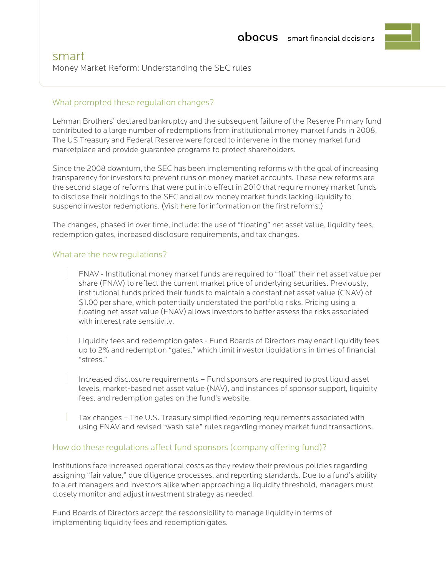## What prompted these regulation changes?

Lehman Brothers' declared bankruptcy and the subsequent failure of the Reserve Primary fund contributed to a large number of redemptions from institutional money market funds in 2008. The US Treasury and Federal Reserve were forced to intervene in the money market fund marketplace and provide guarantee programs to protect shareholders.

Since the 2008 downturn, the SEC has been implementing reforms with the goal of increasing transparency for investors to prevent runs on money market accounts. These new reforms are the second stage of reforms that were put into effect in 2010 that require money market funds to disclose their holdings to the SEC and allow money market funds lacking liquidity to suspend investor redemptions. (Visit [here](https://www.sec.gov/news/press/2010/2010-14.htm) for information on the first reforms.)

The changes, phased in over time, include: the use of "floating" net asset value, liquidity fees, redemption gates, increased disclosure requirements, and tax changes.

### What are the new regulations?

- FNAV Institutional money market funds are required to "float" their net asset value per share (FNAV) to reflect the current market price of underlying securities. Previously, institutional funds priced their funds to maintain a constant net asset value (CNAV) of \$1.00 per share, which potentially understated the portfolio risks. Pricing using a floating net asset value (FNAV) allows investors to better assess the risks associated with interest rate sensitivity.
- Liquidity fees and redemption gates Fund Boards of Directors may enact liquidity fees up to 2% and redemption "gates," which limit investor liquidations in times of financial "stress."
- Increased disclosure requirements Fund sponsors are required to post liquid asset levels, market-based net asset value (NAV), and instances of sponsor support, liquidity fees, and redemption gates on the fund's website.
- Tax changes The U.S. Treasury simplified reporting requirements associated with using FNAV and revised "wash sale" rules regarding money market fund transactions.

#### How do these regulations affect fund sponsors (company offering fund)?

Institutions face increased operational costs as they review their previous policies regarding assigning "fair value," due diligence processes, and reporting standards. Due to a fund's ability to alert managers and investors alike when approaching a liquidity threshold, managers must closely monitor and adjust investment strategy as needed.

Fund Boards of Directors accept the responsibility to manage liquidity in terms of implementing liquidity fees and redemption gates.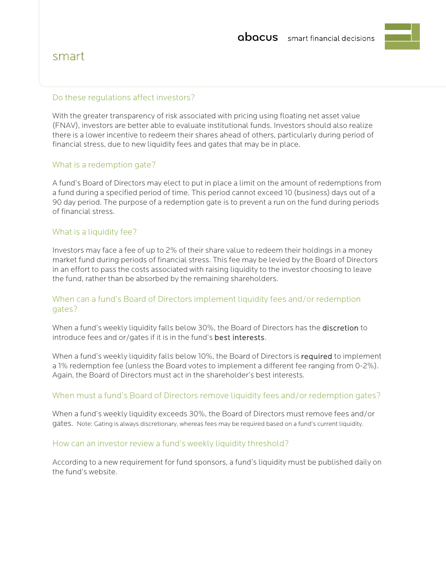# smart

#### Do these regulations affect investors?

With the greater transparency of risk associated with pricing using floating net asset value (FNAV), investors are better able to evaluate institutional funds. Investors should also realize there is a lower incentive to redeem their shares ahead of others, particularly during period of financial stress, due to new liquidity fees and gates that may be in place.

#### What is a redemption gate?

A fund's Board of Directors may elect to put in place a limit on the amount of redemptions from a fund during a specified period of time. This period cannot exceed 10 (business) days out of a 90 day period. The purpose of a redemption gate is to prevent a run on the fund during periods of financial stress.

#### What is a liquidity fee?

Investors may face a fee of up to 2% of their share value to redeem their holdings in a money market fund during periods of financial stress. This fee may be levied by the Board of Directors in an effort to pass the costs associated with raising liquidity to the investor choosing to leave the fund, rather than be absorbed by the remaining shareholders.

## When can a fund's Board of Directors implement liquidity fees and/or redemption gates?

When a fund's weekly liquidity falls below 30%, the Board of Directors has the discretion to introduce fees and or/gates if it is in the fund's best interests.

When a fund's weekly liquidity falls below 10%, the Board of Directors is required to implement a 1% redemption fee (unless the Board votes to implement a different fee ranging from 0-2%). Again, the Board of Directors must act in the shareholder's best interests.

#### When must a fund's Board of Directors remove liquidity fees and/or redemption gates?

When a fund's weekly liquidity exceeds 30%, the Board of Directors must remove fees and/or gates. Note: Gating is always discretionary, whereas fees may be required based on a fund's current liquidity.

#### How can an investor review a fund's weekly liquidity threshold?

According to a new requirement for fund sponsors, a fund's liquidity must be published daily on the fund's website.